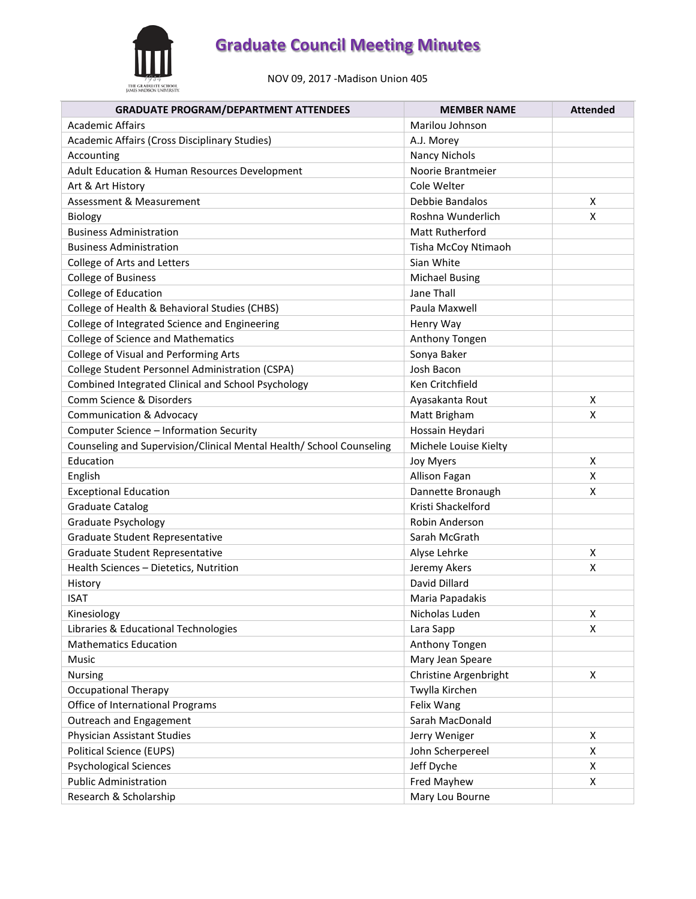

NOV 09, 2017 -Madison Union 405

| <b>GRADUATE PROGRAM/DEPARTMENT ATTENDEES</b>                         | <b>MEMBER NAME</b>    | <b>Attended</b> |
|----------------------------------------------------------------------|-----------------------|-----------------|
| <b>Academic Affairs</b>                                              | Marilou Johnson       |                 |
| Academic Affairs (Cross Disciplinary Studies)                        | A.J. Morey            |                 |
| Accounting                                                           | <b>Nancy Nichols</b>  |                 |
| Adult Education & Human Resources Development                        | Noorie Brantmeier     |                 |
| Art & Art History                                                    | Cole Welter           |                 |
| Assessment & Measurement                                             | Debbie Bandalos       | X               |
| Biology                                                              | Roshna Wunderlich     | X               |
| <b>Business Administration</b>                                       | Matt Rutherford       |                 |
| <b>Business Administration</b>                                       | Tisha McCoy Ntimaoh   |                 |
| College of Arts and Letters                                          | Sian White            |                 |
| <b>College of Business</b>                                           | <b>Michael Busing</b> |                 |
| College of Education                                                 | Jane Thall            |                 |
| College of Health & Behavioral Studies (CHBS)                        | Paula Maxwell         |                 |
| College of Integrated Science and Engineering                        | Henry Way             |                 |
| <b>College of Science and Mathematics</b>                            | Anthony Tongen        |                 |
| College of Visual and Performing Arts                                | Sonya Baker           |                 |
| College Student Personnel Administration (CSPA)                      | Josh Bacon            |                 |
| Combined Integrated Clinical and School Psychology                   | Ken Critchfield       |                 |
| Comm Science & Disorders                                             | Ayasakanta Rout       | X               |
| <b>Communication &amp; Advocacy</b>                                  | Matt Brigham          | X               |
| Computer Science - Information Security                              | Hossain Heydari       |                 |
| Counseling and Supervision/Clinical Mental Health/ School Counseling | Michele Louise Kielty |                 |
| Education                                                            | Joy Myers             | X               |
| English                                                              | Allison Fagan         | X               |
| <b>Exceptional Education</b>                                         | Dannette Bronaugh     | X               |
| <b>Graduate Catalog</b>                                              | Kristi Shackelford    |                 |
| Graduate Psychology                                                  | Robin Anderson        |                 |
| Graduate Student Representative                                      | Sarah McGrath         |                 |
| Graduate Student Representative                                      | Alyse Lehrke          | Х               |
| Health Sciences - Dietetics, Nutrition                               | Jeremy Akers          | X               |
| History                                                              | David Dillard         |                 |
| <b>ISAT</b>                                                          | Maria Papadakis       |                 |
| Kinesiology                                                          | Nicholas Luden        | X               |
| Libraries & Educational Technologies                                 | Lara Sapp             | X               |
| <b>Mathematics Education</b>                                         | Anthony Tongen        |                 |
| Music                                                                | Mary Jean Speare      |                 |
| Nursing                                                              | Christine Argenbright | Χ               |
| <b>Occupational Therapy</b>                                          | Twylla Kirchen        |                 |
| Office of International Programs                                     | Felix Wang            |                 |
| Outreach and Engagement                                              | Sarah MacDonald       |                 |
| Physician Assistant Studies                                          | Jerry Weniger         | X               |
| <b>Political Science (EUPS)</b>                                      | John Scherpereel      | X               |
| <b>Psychological Sciences</b>                                        | Jeff Dyche            | X               |
| <b>Public Administration</b>                                         | Fred Mayhew           | X               |
| Research & Scholarship                                               | Mary Lou Bourne       |                 |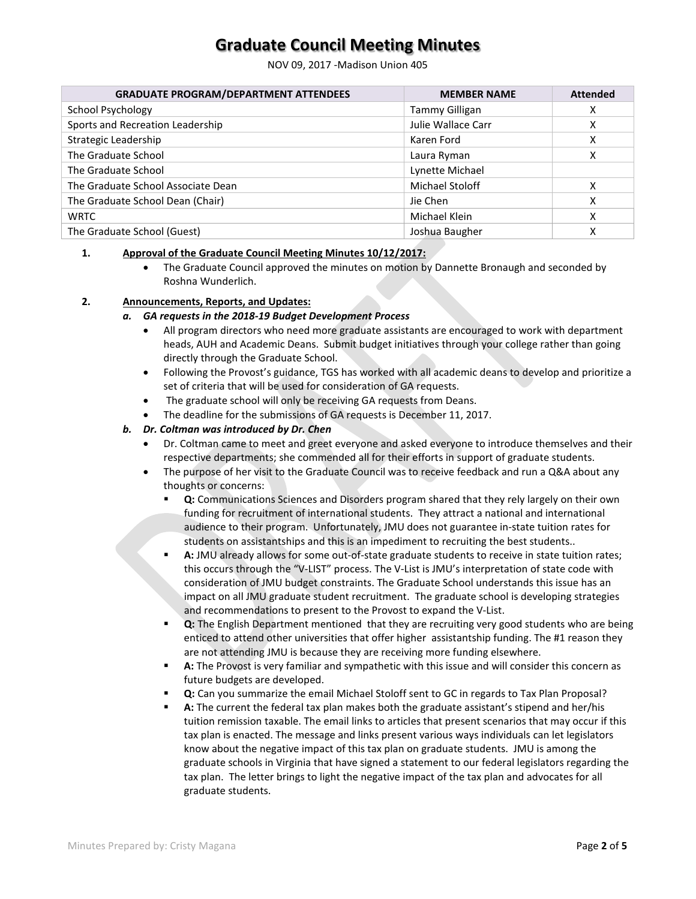NOV 09, 2017 -Madison Union 405

| <b>GRADUATE PROGRAM/DEPARTMENT ATTENDEES</b> | <b>MEMBER NAME</b>     | <b>Attended</b> |
|----------------------------------------------|------------------------|-----------------|
| School Psychology                            | Tammy Gilligan         | х               |
| Sports and Recreation Leadership             | Julie Wallace Carr     | x               |
| Strategic Leadership                         | Karen Ford             | x               |
| The Graduate School                          | Laura Ryman            | x               |
| The Graduate School                          | Lynette Michael        |                 |
| The Graduate School Associate Dean           | <b>Michael Stoloff</b> | x               |
| The Graduate School Dean (Chair)             | Jie Chen               | x               |
| <b>WRTC</b>                                  | Michael Klein          | x               |
| The Graduate School (Guest)                  | Joshua Baugher         | χ               |

#### **1. Approval of the Graduate Council Meeting Minutes 10/12/2017:**

• The Graduate Council approved the minutes on motion by Dannette Bronaugh and seconded by Roshna Wunderlich.

#### **2. Announcements, Reports, and Updates:**

- *a. GA requests in the 2018-19 Budget Development Process*
	- All program directors who need more graduate assistants are encouraged to work with department heads, AUH and Academic Deans. Submit budget initiatives through your college rather than going directly through the Graduate School.
	- Following the Provost's guidance, TGS has worked with all academic deans to develop and prioritize a set of criteria that will be used for consideration of GA requests.
	- The graduate school will only be receiving GA requests from Deans.
	- The deadline for the submissions of GA requests is December 11, 2017.

#### *b. Dr. Coltman was introduced by Dr. Chen*

- Dr. Coltman came to meet and greet everyone and asked everyone to introduce themselves and their respective departments; she commended all for their efforts in support of graduate students.
- The purpose of her visit to the Graduate Council was to receive feedback and run a Q&A about any thoughts or concerns:
	- **Q:** Communications Sciences and Disorders program shared that they rely largely on their own funding for recruitment of international students. They attract a national and international audience to their program. Unfortunately, JMU does not guarantee in-state tuition rates for students on assistantships and this is an impediment to recruiting the best students..
	- **A:** JMU already allows for some out-of-state graduate students to receive in state tuition rates; this occurs through the "V-LIST" process. The V-List is JMU's interpretation of state code with consideration of JMU budget constraints. The Graduate School understands this issue has an impact on all JMU graduate student recruitment. The graduate school is developing strategies and recommendations to present to the Provost to expand the V-List.
	- **Q:** The English Department mentioned that they are recruiting very good students who are being enticed to attend other universities that offer higher assistantship funding. The #1 reason they are not attending JMU is because they are receiving more funding elsewhere.
	- **A:** The Provost is very familiar and sympathetic with this issue and will consider this concern as future budgets are developed.
	- **Q:** Can you summarize the email Michael Stoloff sent to GC in regards to Tax Plan Proposal?
	- **A:** The current the federal tax plan makes both the graduate assistant's stipend and her/his tuition remission taxable. The email links to articles that present scenarios that may occur if this tax plan is enacted. The message and links present various ways individuals can let legislators know about the negative impact of this tax plan on graduate students. JMU is among the graduate schools in Virginia that have signed a statement to our federal legislators regarding the tax plan. The letter brings to light the negative impact of the tax plan and advocates for all graduate students.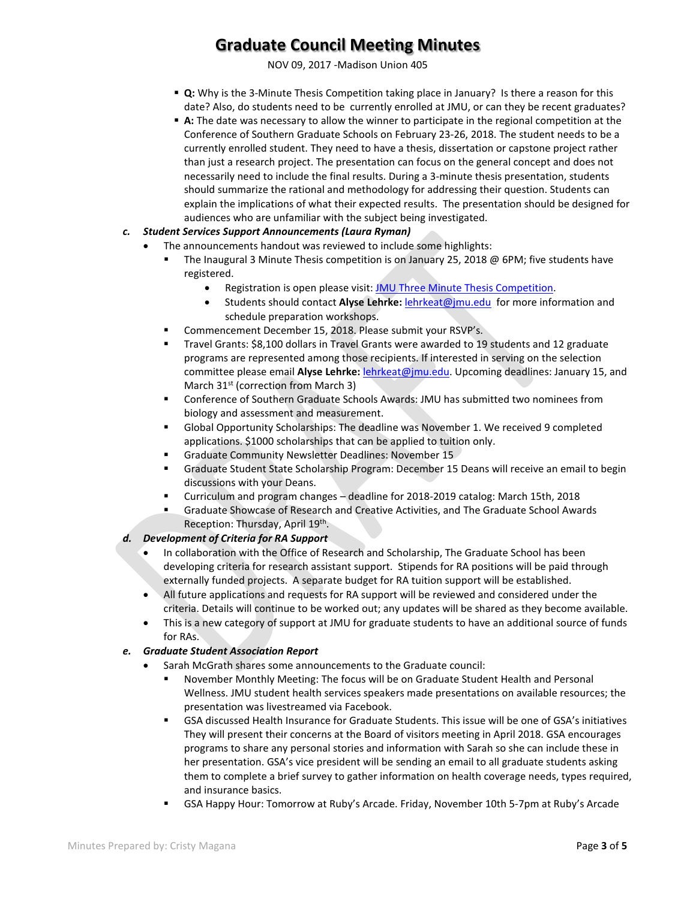NOV 09, 2017 -Madison Union 405

- **Q:** Why is the 3-Minute Thesis Competition taking place in January? Is there a reason for this date? Also, do students need to be currently enrolled at JMU, or can they be recent graduates?
- **A:** The date was necessary to allow the winner to participate in the regional competition at the Conference of Southern Graduate Schools on February 23-26, 2018. The student needs to be a currently enrolled student. They need to have a thesis, dissertation or capstone project rather than just a research project. The presentation can focus on the general concept and does not necessarily need to include the final results. During a 3-minute thesis presentation, students should summarize the rational and methodology for addressing their question. Students can explain the implications of what their expected results. The presentation should be designed for audiences who are unfamiliar with the subject being investigated.
- *c. Student Services Support Announcements (Laura Ryman)*
	- The announcements handout was reviewed to include some highlights:
		- The Inaugural 3 Minute Thesis competition is on January 25, 2018 @ 6PM; five students have registered.
			- Registration is open please visit[: JMU Three Minute Thesis Competition.](https://www.jmu.edu/grad/current-students/three-minute-thesis.shtml)
			- Students should contact **Alyse Lehrke:** [lehrkeat@jmu.edu](mailto:lehrkeat@jmu.edu) for more information and schedule preparation workshops.
		- Commencement December 15, 2018. Please submit your RSVP's.
		- Travel Grants: \$8,100 dollars in Travel Grants were awarded to 19 students and 12 graduate programs are represented among those recipients. If interested in serving on the selection committee please email **Alyse Lehrke:** [lehrkeat@jmu.edu.](mailto:lehrkeat@jmu.edu) Upcoming deadlines: January 15, and March 31<sup>st</sup> (correction from March 3)
		- Conference of Southern Graduate Schools Awards: JMU has submitted two nominees from biology and assessment and measurement.
		- Global Opportunity Scholarships: The deadline was November 1. We received 9 completed applications. \$1000 scholarships that can be applied to tuition only.
		- **Graduate Community Newsletter Deadlines: November 15**
		- Graduate Student State Scholarship Program: December 15 Deans will receive an email to begin discussions with your Deans.
		- Curriculum and program changes deadline for 2018-2019 catalog: March 15th, 2018
		- Graduate Showcase of Research and Creative Activities, and The Graduate School Awards Reception: Thursday, April 19th.

#### *d. Development of Criteria for RA Support*

- In collaboration with the Office of Research and Scholarship, The Graduate School has been developing criteria for research assistant support. Stipends for RA positions will be paid through externally funded projects. A separate budget for RA tuition support will be established.
- All future applications and requests for RA support will be reviewed and considered under the criteria. Details will continue to be worked out; any updates will be shared as they become available.
- This is a new category of support at JMU for graduate students to have an additional source of funds for RAs.

#### *e. Graduate Student Association Report*

- Sarah McGrath shares some announcements to the Graduate council:
	- November Monthly Meeting: The focus will be on Graduate Student Health and Personal Wellness. JMU student health services speakers made presentations on available resources; the presentation was livestreamed via Facebook.
	- GSA discussed Health Insurance for Graduate Students. This issue will be one of GSA's initiatives They will present their concerns at the Board of visitors meeting in April 2018. GSA encourages programs to share any personal stories and information with Sarah so she can include these in her presentation. GSA's vice president will be sending an email to all graduate students asking them to complete a brief survey to gather information on health coverage needs, types required, and insurance basics.
		- GSA Happy Hour: Tomorrow at Ruby's Arcade. Friday, November 10th 5-7pm at Ruby's Arcade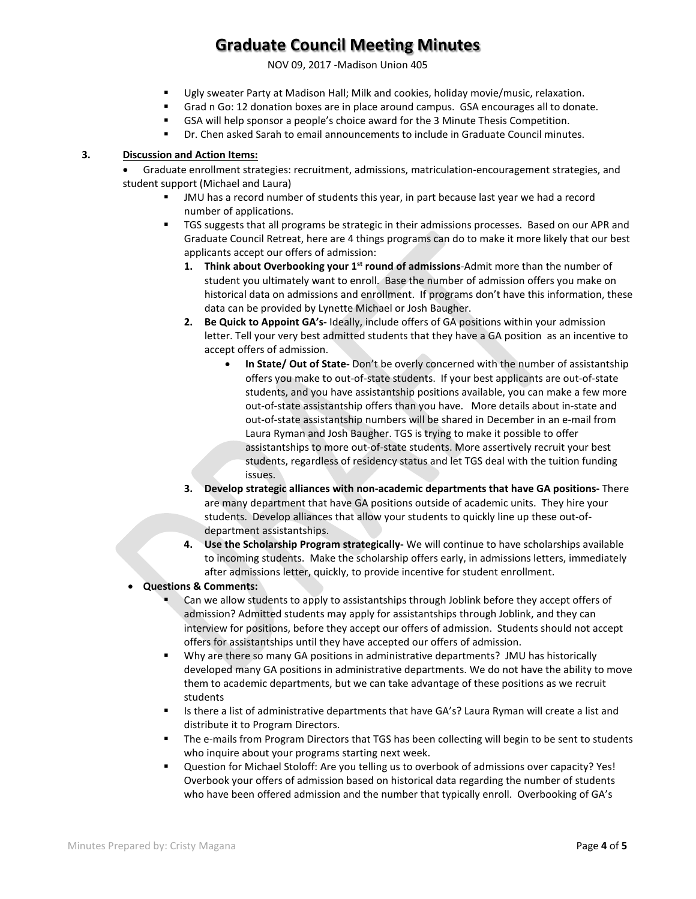NOV 09, 2017 -Madison Union 405

- Ugly sweater Party at Madison Hall; Milk and cookies, holiday movie/music, relaxation.
- Grad n Go: 12 donation boxes are in place around campus. GSA encourages all to donate.
- GSA will help sponsor a people's choice award for the 3 Minute Thesis Competition.
- Dr. Chen asked Sarah to email announcements to include in Graduate Council minutes.

#### **3. Discussion and Action Items:**

• Graduate enrollment strategies: recruitment, admissions, matriculation-encouragement strategies, and student support (Michael and Laura)

- JMU has a record number of students this year, in part because last year we had a record number of applications.
- TGS suggests that all programs be strategic in their admissions processes. Based on our APR and Graduate Council Retreat, here are 4 things programs can do to make it more likely that our best applicants accept our offers of admission:
	- **1. Think about Overbooking your 1st round of admissions**-Admit more than the number of student you ultimately want to enroll. Base the number of admission offers you make on historical data on admissions and enrollment. If programs don't have this information, these data can be provided by Lynette Michael or Josh Baugher.
	- **2. Be Quick to Appoint GA's-** Ideally, include offers of GA positions within your admission letter. Tell your very best admitted students that they have a GA position as an incentive to accept offers of admission.
		- **In State/ Out of State-** Don't be overly concerned with the number of assistantship offers you make to out-of-state students. If your best applicants are out-of-state students, and you have assistantship positions available, you can make a few more out-of-state assistantship offers than you have. More details about in-state and out-of-state assistantship numbers will be shared in December in an e-mail from Laura Ryman and Josh Baugher. TGS is trying to make it possible to offer assistantships to more out-of-state students. More assertively recruit your best students, regardless of residency status and let TGS deal with the tuition funding issues.
	- **3. Develop strategic alliances with non-academic departments that have GA positions-** There are many department that have GA positions outside of academic units. They hire your students. Develop alliances that allow your students to quickly line up these out-ofdepartment assistantships.
	- **4. Use the Scholarship Program strategically-** We will continue to have scholarships available to incoming students. Make the scholarship offers early, in admissions letters, immediately after admissions letter, quickly, to provide incentive for student enrollment.
- **Questions & Comments:**
	- Can we allow students to apply to assistantships through Joblink before they accept offers of admission? Admitted students may apply for assistantships through Joblink, and they can interview for positions, before they accept our offers of admission. Students should not accept offers for assistantships until they have accepted our offers of admission.
	- Why are there so many GA positions in administrative departments? JMU has historically developed many GA positions in administrative departments. We do not have the ability to move them to academic departments, but we can take advantage of these positions as we recruit students
	- Is there a list of administrative departments that have GA's? Laura Ryman will create a list and distribute it to Program Directors.
	- The e-mails from Program Directors that TGS has been collecting will begin to be sent to students who inquire about your programs starting next week.
	- Question for Michael Stoloff: Are you telling us to overbook of admissions over capacity? Yes! Overbook your offers of admission based on historical data regarding the number of students who have been offered admission and the number that typically enroll. Overbooking of GA's